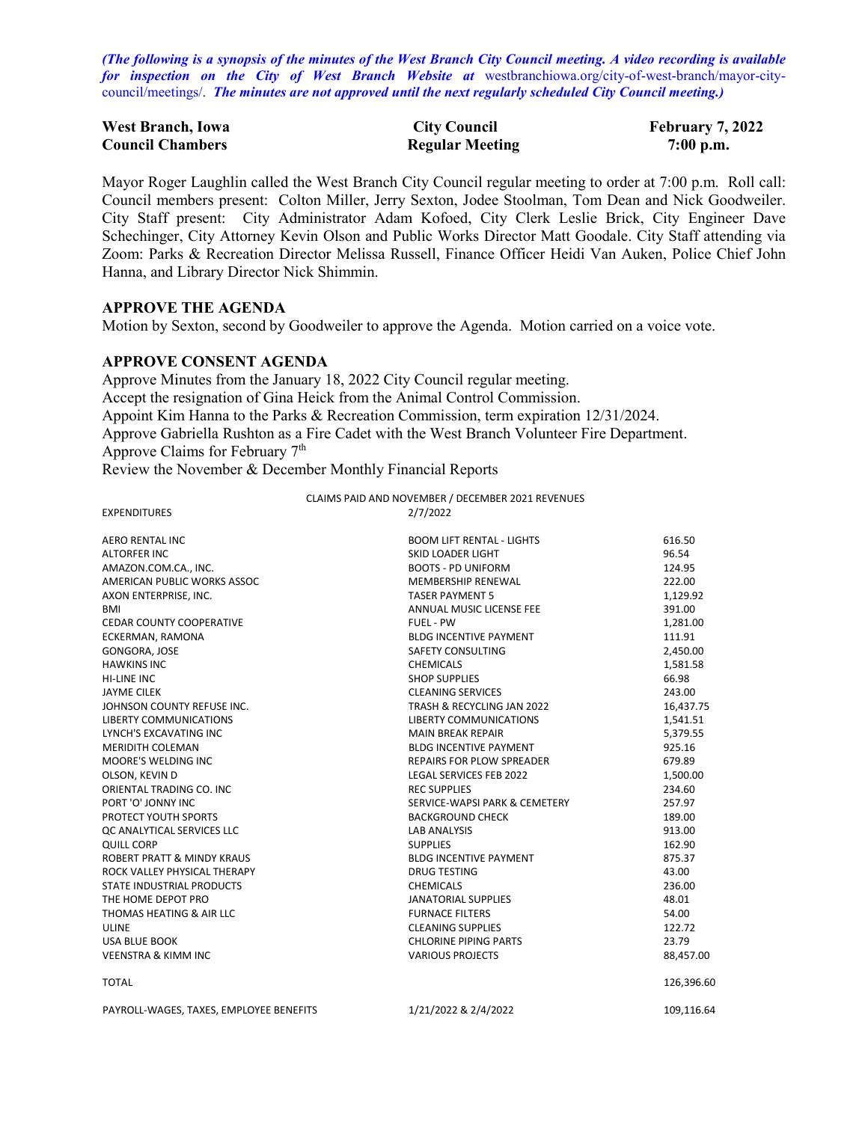*(The following is a synopsis of the minutes of the West Branch City Council meeting. A video recording is available for inspection on the City of West Branch Website at* [westbranchiowa.org/city-of-west-branch/mayor-city](https://westbranchiowa.org/city-of-west-branch/mayor-city-council/meetings/)[council/meetings/.](https://westbranchiowa.org/city-of-west-branch/mayor-city-council/meetings/) *The minutes are not approved until the next regularly scheduled City Council meeting.)*

| <b>West Branch, Iowa</b> | <b>City Council</b>    | <b>February 7, 2022</b> |
|--------------------------|------------------------|-------------------------|
| <b>Council Chambers</b>  | <b>Regular Meeting</b> | $7:00$ p.m.             |

Mayor Roger Laughlin called the West Branch City Council regular meeting to order at 7:00 p.m. Roll call: Council members present: Colton Miller, Jerry Sexton, Jodee Stoolman, Tom Dean and Nick Goodweiler. City Staff present: City Administrator Adam Kofoed, City Clerk Leslie Brick, City Engineer Dave Schechinger, City Attorney Kevin Olson and Public Works Director Matt Goodale. City Staff attending via Zoom: Parks & Recreation Director Melissa Russell, Finance Officer Heidi Van Auken, Police Chief John Hanna, and Library Director Nick Shimmin.

#### **APPROVE THE AGENDA**

Motion by Sexton, second by Goodweiler to approve the Agenda. Motion carried on a voice vote.

#### **APPROVE CONSENT AGENDA**

Approve Minutes from the January 18, 2022 City Council regular meeting. Accept the resignation of Gina Heick from the Animal Control Commission. Appoint Kim Hanna to the Parks & Recreation Commission, term expiration 12/31/2024. Approve Gabriella Rushton as a Fire Cadet with the West Branch Volunteer Fire Department. Approve Claims for February 7<sup>th</sup>

Review the November & December Monthly Financial Reports

| <b>EXPENDITURES</b>                   | 2/7/2022                         |            |
|---------------------------------------|----------------------------------|------------|
| <b>AERO RENTAL INC</b>                | <b>BOOM LIFT RENTAL - LIGHTS</b> | 616.50     |
| <b>ALTORFER INC</b>                   | SKID LOADER LIGHT                | 96.54      |
| AMAZON.COM.CA., INC.                  | <b>BOOTS - PD UNIFORM</b>        | 124.95     |
| AMERICAN PUBLIC WORKS ASSOC           | <b>MEMBERSHIP RENEWAL</b>        | 222.00     |
| AXON ENTERPRISE, INC.                 | <b>TASER PAYMENT 5</b>           | 1,129.92   |
| BMI                                   | ANNUAL MUSIC LICENSE FEE         | 391.00     |
| <b>CEDAR COUNTY COOPERATIVE</b>       | FUEL - PW                        | 1,281.00   |
| ECKERMAN, RAMONA                      | <b>BLDG INCENTIVE PAYMENT</b>    | 111.91     |
| GONGORA, JOSE                         | SAFETY CONSULTING                | 2,450.00   |
| <b>HAWKINS INC</b>                    | <b>CHEMICALS</b>                 | 1,581.58   |
| <b>HI-LINE INC</b>                    | <b>SHOP SUPPLIES</b>             | 66.98      |
| JAYME CILEK                           | <b>CLEANING SERVICES</b>         | 243.00     |
| JOHNSON COUNTY REFUSE INC.            | TRASH & RECYCLING JAN 2022       | 16,437.75  |
| <b>LIBERTY COMMUNICATIONS</b>         | <b>LIBERTY COMMUNICATIONS</b>    | 1,541.51   |
| LYNCH'S EXCAVATING INC                | <b>MAIN BREAK REPAIR</b>         | 5,379.55   |
| <b>MERIDITH COLEMAN</b>               | <b>BLDG INCENTIVE PAYMENT</b>    | 925.16     |
| MOORE'S WELDING INC                   | <b>REPAIRS FOR PLOW SPREADER</b> | 679.89     |
| OLSON. KEVIN D                        | <b>LEGAL SERVICES FEB 2022</b>   | 1,500.00   |
| ORIENTAL TRADING CO. INC              | <b>REC SUPPLIES</b>              | 234.60     |
| PORT 'O' JONNY INC                    | SERVICE-WAPSI PARK & CEMETERY    | 257.97     |
| PROTECT YOUTH SPORTS                  | <b>BACKGROUND CHECK</b>          | 189.00     |
| OC ANALYTICAL SERVICES LLC            | <b>LAB ANALYSIS</b>              | 913.00     |
| <b>QUILL CORP</b>                     | <b>SUPPLIES</b>                  | 162.90     |
| <b>ROBERT PRATT &amp; MINDY KRAUS</b> | <b>BLDG INCENTIVE PAYMENT</b>    | 875.37     |
| ROCK VALLEY PHYSICAL THERAPY          | <b>DRUG TESTING</b>              | 43.00      |
| STATE INDUSTRIAL PRODUCTS             | <b>CHEMICALS</b>                 | 236.00     |
| THE HOME DEPOT PRO                    | <b>JANATORIAL SUPPLIES</b>       | 48.01      |
| THOMAS HEATING & AIR LLC              | <b>FURNACE FILTERS</b>           | 54.00      |
| <b>ULINE</b>                          | <b>CLEANING SUPPLIES</b>         | 122.72     |
| <b>USA BLUE BOOK</b>                  | <b>CHLORINE PIPING PARTS</b>     | 23.79      |
| <b>VEENSTRA &amp; KIMM INC</b>        | <b>VARIOUS PROJECTS</b>          | 88,457.00  |
| <b>TOTAL</b>                          |                                  | 126,396.60 |

CLAIMS PAID AND NOVEMBER / DECEMBER 2021 REVENUES

PAYROLL-WAGES, TAXES, EMPLOYEE BENEFITS 1/21/2022 & 2/4/2022 109,116.64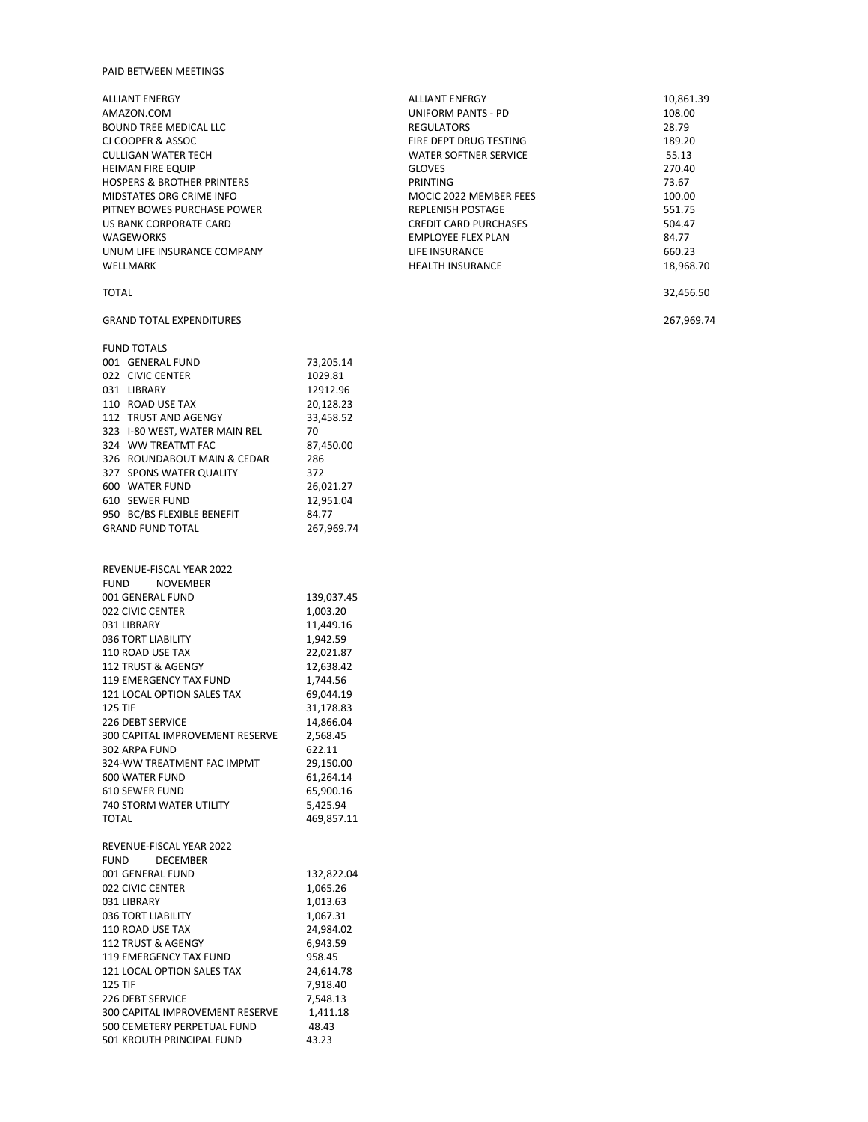#### PAID BETWEEN MEETINGS

600 WATER FUND

324 WW TREATMT FAC

| <b>ALLIANT ENERGY</b>                 |           | <b>ALLIANT ENERGY</b>        | 10,861.39  |
|---------------------------------------|-----------|------------------------------|------------|
| AMAZON.COM                            |           | <b>UNIFORM PANTS - PD</b>    | 108.00     |
| <b>BOUND TREE MEDICAL LLC</b>         |           | <b>REGULATORS</b>            | 28.79      |
| CJ COOPER & ASSOC                     |           | FIRE DEPT DRUG TESTING       | 189.20     |
| <b>CULLIGAN WATER TECH</b>            |           | <b>WATER SOFTNER SERVICE</b> | 55.13      |
| HEIMAN FIRE EQUIP                     |           | <b>GLOVES</b>                | 270.40     |
| <b>HOSPERS &amp; BROTHER PRINTERS</b> |           | <b>PRINTING</b>              | 73.67      |
| MIDSTATES ORG CRIME INFO              |           | MOCIC 2022 MEMBER FEES       | 100.00     |
| PITNEY BOWES PURCHASE POWER           |           | <b>REPLENISH POSTAGE</b>     | 551.75     |
| US BANK CORPORATE CARD                |           | <b>CREDIT CARD PURCHASES</b> | 504.47     |
| <b>WAGEWORKS</b>                      |           | <b>EMPLOYEE FLEX PLAN</b>    | 84.77      |
| UNUM LIFE INSURANCE COMPANY           |           | LIFE INSURANCE               | 660.23     |
| WELLMARK                              |           | <b>HEALTH INSURANCE</b>      | 18,968.70  |
| <b>TOTAL</b>                          |           |                              | 32,456.50  |
| <b>GRAND TOTAL EXPENDITURES</b>       |           |                              | 267,969.74 |
| <b>FUND TOTALS</b>                    |           |                              |            |
| 001 GENERAL FUND                      | 73,205.14 |                              |            |
| 022 CIVIC CENTER                      | 1029.81   |                              |            |
| 031 LIBRARY                           | 12912.96  |                              |            |
| 110 ROAD USE TAX                      | 20,128.23 |                              |            |

| 610 SEWER FUND                         | 12,951.04  |
|----------------------------------------|------------|
| 950 BC/BS FLEXIBLE BENEFIT             | 84.77      |
| <b>GRAND FUND TOTAL</b>                | 267,969.74 |
|                                        |            |
| REVENUE-FISCAL YEAR 2022               |            |
| <b>NOVEMBER</b><br><b>FUND</b>         |            |
| 001 GENERAL FUND                       | 139,037.45 |
| 022 CIVIC CENTER                       | 1,003.20   |
| 031 LIBRARY                            | 11,449.16  |
| 036 TORT LIABILITY                     | 1,942.59   |
| 110 ROAD USE TAX                       | 22,021.87  |
| 112 TRUST & AGENGY                     | 12,638.42  |
| <b>119 EMERGENCY TAX FUND</b>          | 1,744.56   |
| 121 LOCAL OPTION SALES TAX             | 69,044.19  |
| <b>125 TIF</b>                         | 31,178.83  |
| <b>226 DEBT SERVICE</b>                | 14,866.04  |
| <b>300 CAPITAL IMPROVEMENT RESERVE</b> | 2,568.45   |
| 302 ARPA FUND                          | 622.11     |
| 324-WW TREATMENT FAC IMPMT             | 29,150.00  |
| 600 WATER FUND                         | 61,264.14  |
| <b>610 SEWER FUND</b>                  | 65,900.16  |
| <b>740 STORM WATER UTILITY</b>         | 5,425.94   |
| <b>TOTAL</b>                           | 469,857.11 |
| REVENUE-FISCAL YEAR 2022               |            |
| <b>DECEMBER</b><br><b>FUND</b>         |            |
| 001 GENERAL FUND                       | 132,822.04 |
| 022 CIVIC CENTER                       | 1,065.26   |
| 031 LIBRARY                            | 1,013.63   |
| 036 TORT LIABILITY                     | 1,067.31   |
| 110 ROAD USE TAX                       | 24,984.02  |
| 112 TRUST & AGENGY                     | 6,943.59   |
| 119 EMERGENCY TAX FUND                 | 958.45     |
| 121 LOCAL OPTION SALES TAX             | 24,614.78  |
| <b>125 TIF</b>                         | 7,918.40   |
| <b>226 DEBT SERVICE</b>                | 7,548.13   |
| <b>300 CAPITAL IMPROVEMENT RESERVE</b> | 1,411.18   |
| 500 CEMETERY PERPETUAL FUND            | 48.43      |
| 501 KROUTH PRINCIPAL FUND              | 43.23      |

112 TRUST AND AGENGY 33,458.52 323 I-80 WEST, WATER MAIN REL 70<br>324 WW TREATMT FAC 87,450.00

326 ROUNDABOUT MAIN & CEDAR 286<br>327 SPONS WATER QUALITY 372 327 SPONS WATER QUALITY 372<br>600 WATER FUND 26,021.27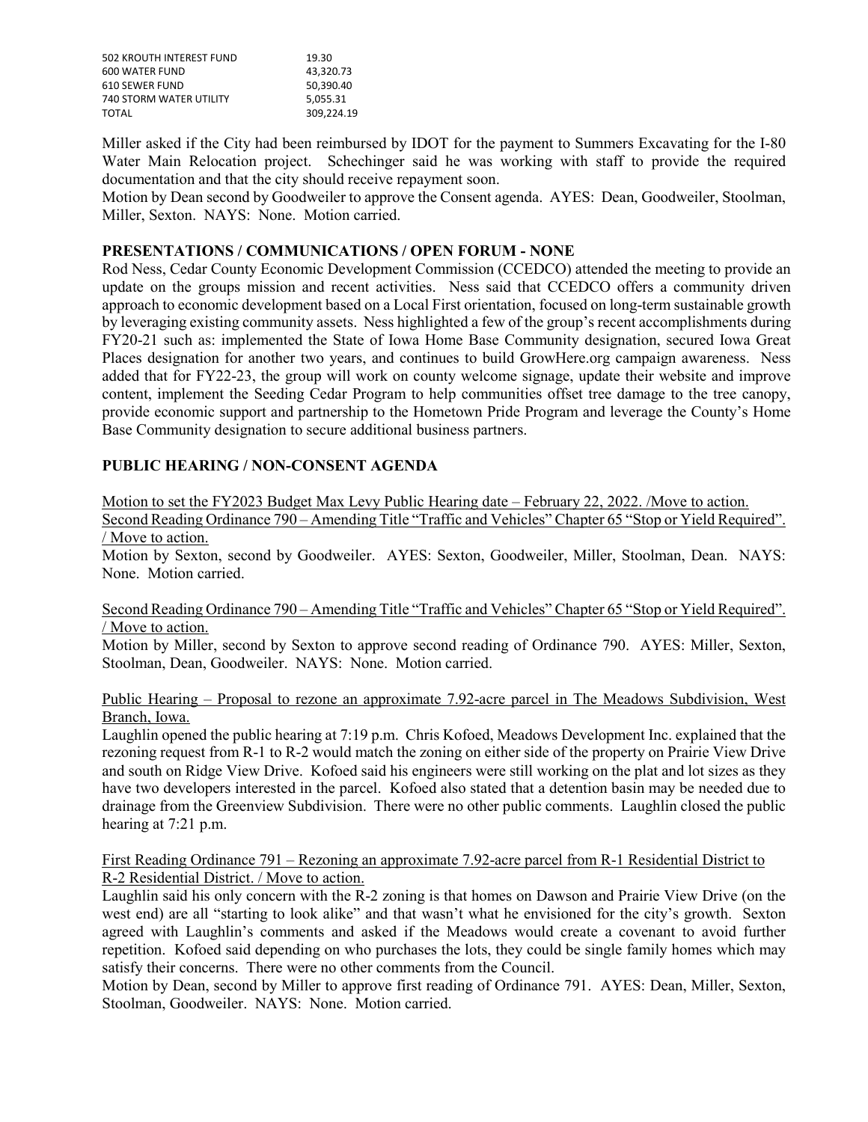| 502 KROUTH INTEREST FUND       | 19.30      |
|--------------------------------|------------|
| <b>600 WATER FUND</b>          | 43.320.73  |
| 610 SEWER FUND                 | 50.390.40  |
| <b>740 STORM WATER UTILITY</b> | 5.055.31   |
| TOTAL                          | 309.224.19 |

Miller asked if the City had been reimbursed by IDOT for the payment to Summers Excavating for the I-80 Water Main Relocation project. Schechinger said he was working with staff to provide the required documentation and that the city should receive repayment soon.

Motion by Dean second by Goodweiler to approve the Consent agenda. AYES: Dean, Goodweiler, Stoolman, Miller, Sexton. NAYS: None. Motion carried.

# **PRESENTATIONS / COMMUNICATIONS / OPEN FORUM - NONE**

Rod Ness, Cedar County Economic Development Commission (CCEDCO) attended the meeting to provide an update on the groups mission and recent activities. Ness said that CCEDCO offers a community driven approach to economic development based on a Local First orientation, focused on long-term sustainable growth by leveraging existing community assets. Ness highlighted a few of the group's recent accomplishments during FY20-21 such as: implemented the State of Iowa Home Base Community designation, secured Iowa Great Places designation for another two years, and continues to build GrowHere.org campaign awareness. Ness added that for FY22-23, the group will work on county welcome signage, update their website and improve content, implement the Seeding Cedar Program to help communities offset tree damage to the tree canopy, provide economic support and partnership to the Hometown Pride Program and leverage the County's Home Base Community designation to secure additional business partners.

# **PUBLIC HEARING / NON-CONSENT AGENDA**

Motion to set the FY2023 Budget Max Levy Public Hearing date – February 22, 2022. /Move to action.

Second Reading Ordinance 790 – Amending Title "Traffic and Vehicles" Chapter 65 "Stop or Yield Required". / Move to action.

Motion by Sexton, second by Goodweiler. AYES: Sexton, Goodweiler, Miller, Stoolman, Dean. NAYS: None. Motion carried.

#### Second Reading Ordinance 790 – Amending Title "Traffic and Vehicles" Chapter 65 "Stop or Yield Required". / Move to action.

Motion by Miller, second by Sexton to approve second reading of Ordinance 790. AYES: Miller, Sexton, Stoolman, Dean, Goodweiler. NAYS: None. Motion carried.

#### Public Hearing – Proposal to rezone an approximate 7.92-acre parcel in The Meadows Subdivision, West Branch, Iowa.

Laughlin opened the public hearing at 7:19 p.m. Chris Kofoed, Meadows Development Inc. explained that the rezoning request from R-1 to R-2 would match the zoning on either side of the property on Prairie View Drive and south on Ridge View Drive. Kofoed said his engineers were still working on the plat and lot sizes as they have two developers interested in the parcel. Kofoed also stated that a detention basin may be needed due to drainage from the Greenview Subdivision. There were no other public comments. Laughlin closed the public hearing at 7:21 p.m.

### First Reading Ordinance 791 – Rezoning an approximate 7.92-acre parcel from R-1 Residential District to R-2 Residential District. / Move to action.

Laughlin said his only concern with the R-2 zoning is that homes on Dawson and Prairie View Drive (on the west end) are all "starting to look alike" and that wasn't what he envisioned for the city's growth. Sexton agreed with Laughlin's comments and asked if the Meadows would create a covenant to avoid further repetition. Kofoed said depending on who purchases the lots, they could be single family homes which may satisfy their concerns. There were no other comments from the Council.

Motion by Dean, second by Miller to approve first reading of Ordinance 791. AYES: Dean, Miller, Sexton, Stoolman, Goodweiler. NAYS: None. Motion carried.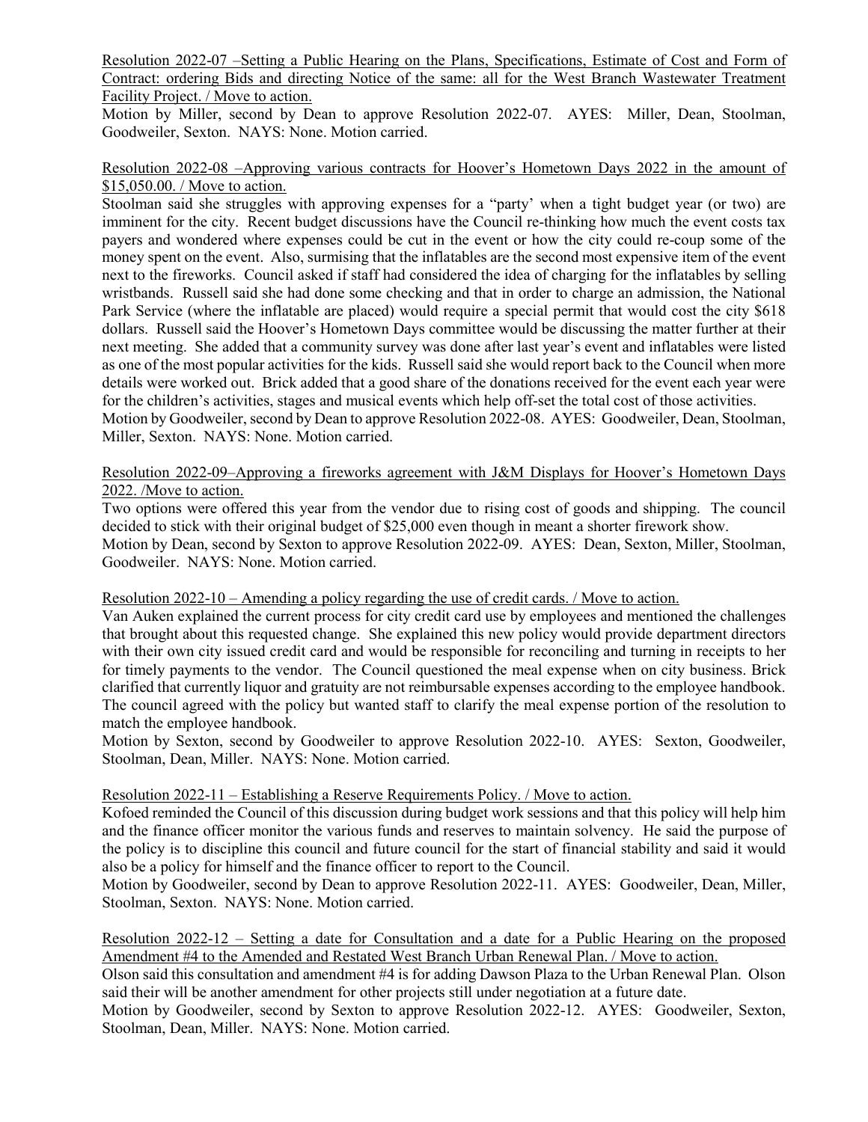Resolution 2022-07 –Setting a Public Hearing on the Plans, Specifications, Estimate of Cost and Form of Contract: ordering Bids and directing Notice of the same: all for the West Branch Wastewater Treatment Facility Project. / Move to action.

Motion by Miller, second by Dean to approve Resolution 2022-07. AYES: Miller, Dean, Stoolman, Goodweiler, Sexton. NAYS: None. Motion carried.

#### Resolution 2022-08 –Approving various contracts for Hoover's Hometown Days 2022 in the amount of \$15,050.00. / Move to action.

Stoolman said she struggles with approving expenses for a "party' when a tight budget year (or two) are imminent for the city. Recent budget discussions have the Council re-thinking how much the event costs tax payers and wondered where expenses could be cut in the event or how the city could re-coup some of the money spent on the event. Also, surmising that the inflatables are the second most expensive item of the event next to the fireworks. Council asked if staff had considered the idea of charging for the inflatables by selling wristbands. Russell said she had done some checking and that in order to charge an admission, the National Park Service (where the inflatable are placed) would require a special permit that would cost the city \$618 dollars. Russell said the Hoover's Hometown Days committee would be discussing the matter further at their next meeting. She added that a community survey was done after last year's event and inflatables were listed as one of the most popular activities for the kids. Russell said she would report back to the Council when more details were worked out. Brick added that a good share of the donations received for the event each year were for the children's activities, stages and musical events which help off-set the total cost of those activities. Motion by Goodweiler, second by Dean to approve Resolution 2022-08. AYES: Goodweiler, Dean, Stoolman, Miller, Sexton. NAYS: None. Motion carried.

# Resolution 2022-09–Approving a fireworks agreement with J&M Displays for Hoover's Hometown Days 2022. /Move to action.

Two options were offered this year from the vendor due to rising cost of goods and shipping. The council decided to stick with their original budget of \$25,000 even though in meant a shorter firework show. Motion by Dean, second by Sexton to approve Resolution 2022-09. AYES: Dean, Sexton, Miller, Stoolman, Goodweiler. NAYS: None. Motion carried.

#### Resolution 2022-10 – Amending a policy regarding the use of credit cards. / Move to action.

Van Auken explained the current process for city credit card use by employees and mentioned the challenges that brought about this requested change. She explained this new policy would provide department directors with their own city issued credit card and would be responsible for reconciling and turning in receipts to her for timely payments to the vendor. The Council questioned the meal expense when on city business. Brick clarified that currently liquor and gratuity are not reimbursable expenses according to the employee handbook. The council agreed with the policy but wanted staff to clarify the meal expense portion of the resolution to match the employee handbook.

Motion by Sexton, second by Goodweiler to approve Resolution 2022-10. AYES: Sexton, Goodweiler, Stoolman, Dean, Miller. NAYS: None. Motion carried.

# Resolution 2022-11 – Establishing a Reserve Requirements Policy. / Move to action.

Kofoed reminded the Council of this discussion during budget work sessions and that this policy will help him and the finance officer monitor the various funds and reserves to maintain solvency. He said the purpose of the policy is to discipline this council and future council for the start of financial stability and said it would also be a policy for himself and the finance officer to report to the Council.

Motion by Goodweiler, second by Dean to approve Resolution 2022-11. AYES: Goodweiler, Dean, Miller, Stoolman, Sexton. NAYS: None. Motion carried.

Resolution 2022-12 – Setting a date for Consultation and a date for a Public Hearing on the proposed Amendment #4 to the Amended and Restated West Branch Urban Renewal Plan. / Move to action.

Olson said this consultation and amendment #4 is for adding Dawson Plaza to the Urban Renewal Plan. Olson said their will be another amendment for other projects still under negotiation at a future date.

Motion by Goodweiler, second by Sexton to approve Resolution 2022-12. AYES: Goodweiler, Sexton, Stoolman, Dean, Miller. NAYS: None. Motion carried.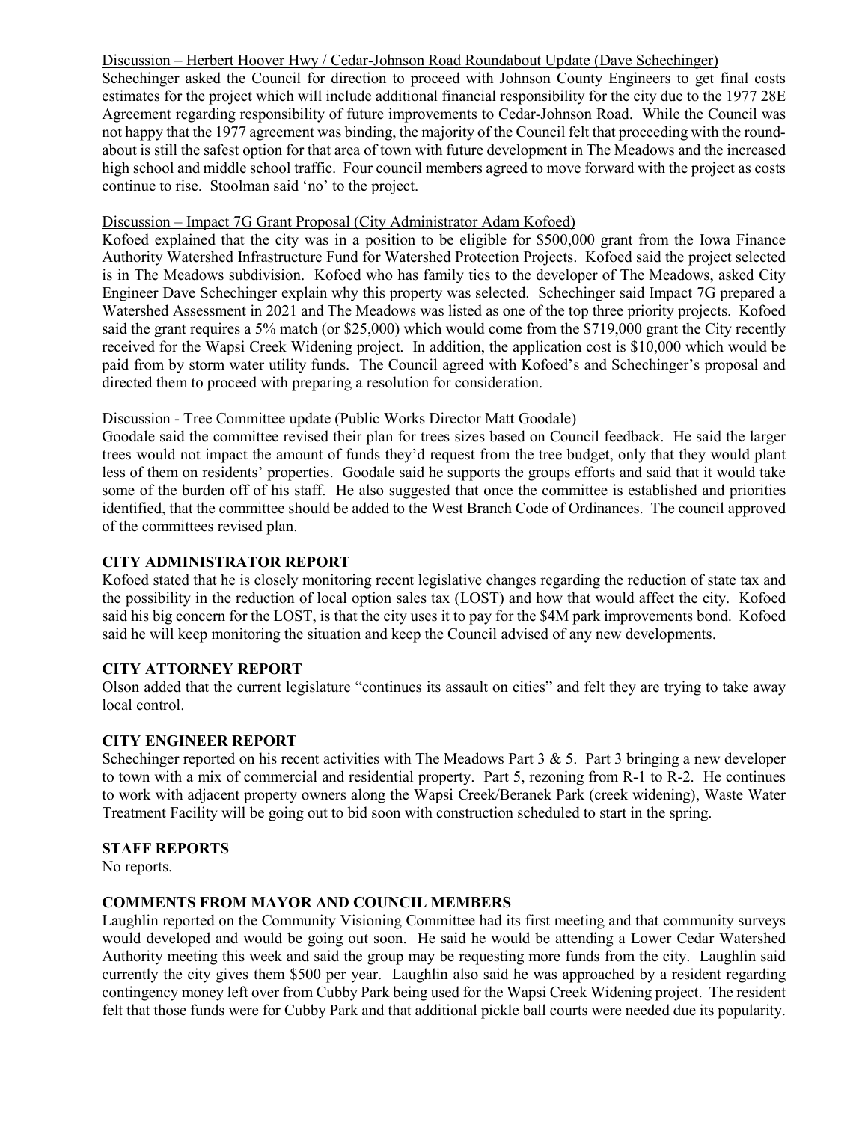### Discussion – Herbert Hoover Hwy / Cedar-Johnson Road Roundabout Update (Dave Schechinger)

Schechinger asked the Council for direction to proceed with Johnson County Engineers to get final costs estimates for the project which will include additional financial responsibility for the city due to the 1977 28E Agreement regarding responsibility of future improvements to Cedar-Johnson Road. While the Council was not happy that the 1977 agreement was binding, the majority of the Council felt that proceeding with the roundabout is still the safest option for that area of town with future development in The Meadows and the increased high school and middle school traffic. Four council members agreed to move forward with the project as costs continue to rise. Stoolman said 'no' to the project.

#### Discussion – Impact 7G Grant Proposal (City Administrator Adam Kofoed)

Kofoed explained that the city was in a position to be eligible for \$500,000 grant from the Iowa Finance Authority Watershed Infrastructure Fund for Watershed Protection Projects. Kofoed said the project selected is in The Meadows subdivision. Kofoed who has family ties to the developer of The Meadows, asked City Engineer Dave Schechinger explain why this property was selected. Schechinger said Impact 7G prepared a Watershed Assessment in 2021 and The Meadows was listed as one of the top three priority projects. Kofoed said the grant requires a 5% match (or \$25,000) which would come from the \$719,000 grant the City recently received for the Wapsi Creek Widening project. In addition, the application cost is \$10,000 which would be paid from by storm water utility funds. The Council agreed with Kofoed's and Schechinger's proposal and directed them to proceed with preparing a resolution for consideration.

#### Discussion - Tree Committee update (Public Works Director Matt Goodale)

Goodale said the committee revised their plan for trees sizes based on Council feedback. He said the larger trees would not impact the amount of funds they'd request from the tree budget, only that they would plant less of them on residents' properties. Goodale said he supports the groups efforts and said that it would take some of the burden off of his staff. He also suggested that once the committee is established and priorities identified, that the committee should be added to the West Branch Code of Ordinances. The council approved of the committees revised plan.

### **CITY ADMINISTRATOR REPORT**

Kofoed stated that he is closely monitoring recent legislative changes regarding the reduction of state tax and the possibility in the reduction of local option sales tax (LOST) and how that would affect the city. Kofoed said his big concern for the LOST, is that the city uses it to pay for the \$4M park improvements bond. Kofoed said he will keep monitoring the situation and keep the Council advised of any new developments.

### **CITY ATTORNEY REPORT**

Olson added that the current legislature "continues its assault on cities" and felt they are trying to take away local control.

### **CITY ENGINEER REPORT**

Schechinger reported on his recent activities with The Meadows Part  $3 \& 5$ . Part  $3$  bringing a new developer to town with a mix of commercial and residential property. Part 5, rezoning from R-1 to R-2. He continues to work with adjacent property owners along the Wapsi Creek/Beranek Park (creek widening), Waste Water Treatment Facility will be going out to bid soon with construction scheduled to start in the spring.

# **STAFF REPORTS**

No reports.

#### **COMMENTS FROM MAYOR AND COUNCIL MEMBERS**

Laughlin reported on the Community Visioning Committee had its first meeting and that community surveys would developed and would be going out soon. He said he would be attending a Lower Cedar Watershed Authority meeting this week and said the group may be requesting more funds from the city. Laughlin said currently the city gives them \$500 per year. Laughlin also said he was approached by a resident regarding contingency money left over from Cubby Park being used for the Wapsi Creek Widening project. The resident felt that those funds were for Cubby Park and that additional pickle ball courts were needed due its popularity.